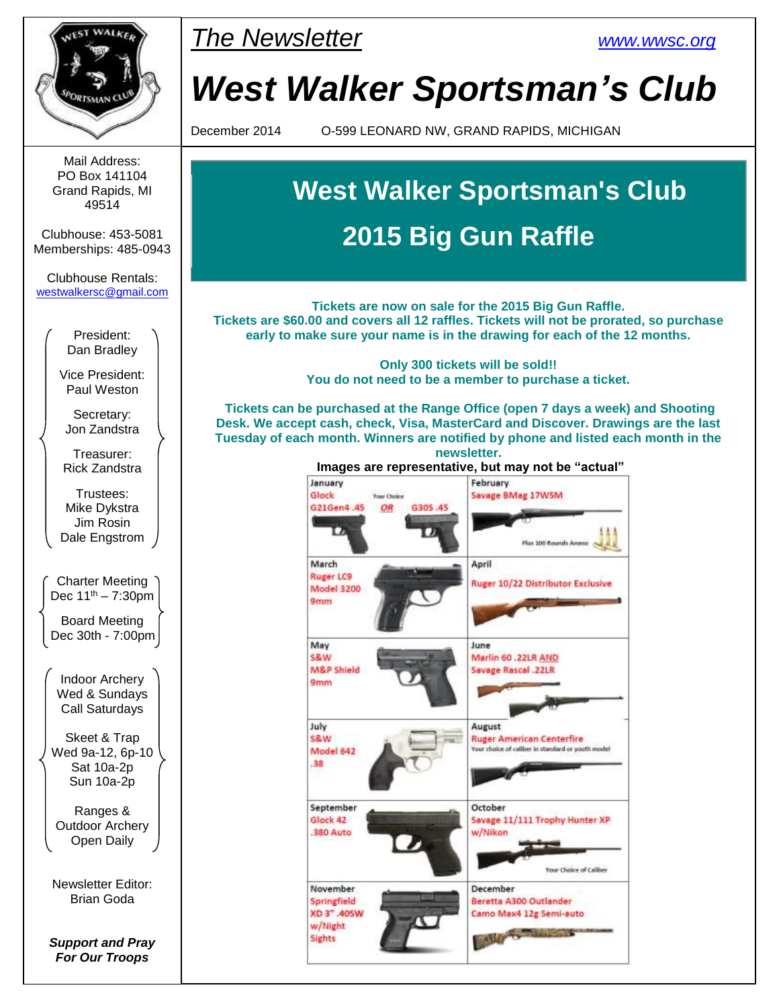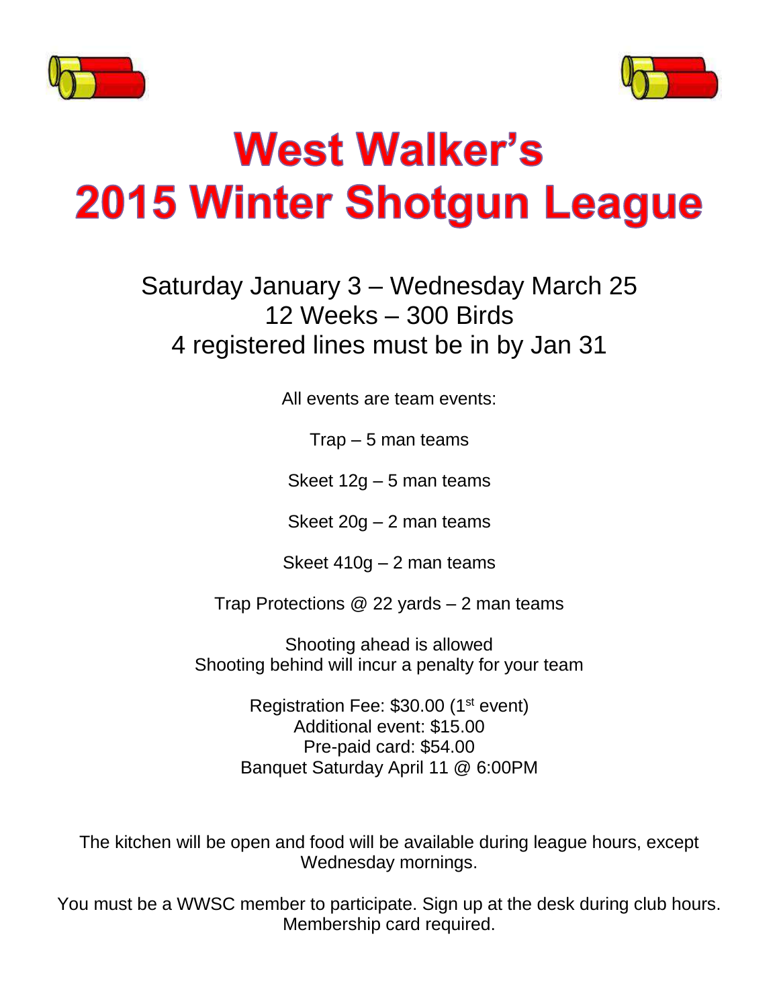



# **West Walker's 2015 Winter Shotgun League**

Saturday January 3 – Wednesday March 25 12 Weeks – 300 Birds 4 registered lines must be in by Jan 31

All events are team events:

Trap – 5 man teams

Skeet 12g – 5 man teams

Skeet 20g – 2 man teams

Skeet 410g – 2 man teams

Trap Protections @ 22 yards – 2 man teams

Shooting ahead is allowed Shooting behind will incur a penalty for your team

> Registration Fee: \$30.00 (1<sup>st</sup> event) Additional event: \$15.00 Pre-paid card: \$54.00 Banquet Saturday April 11 @ 6:00PM

The kitchen will be open and food will be available during league hours, except Wednesday mornings.

You must be a WWSC member to participate. Sign up at the desk during club hours. Membership card required.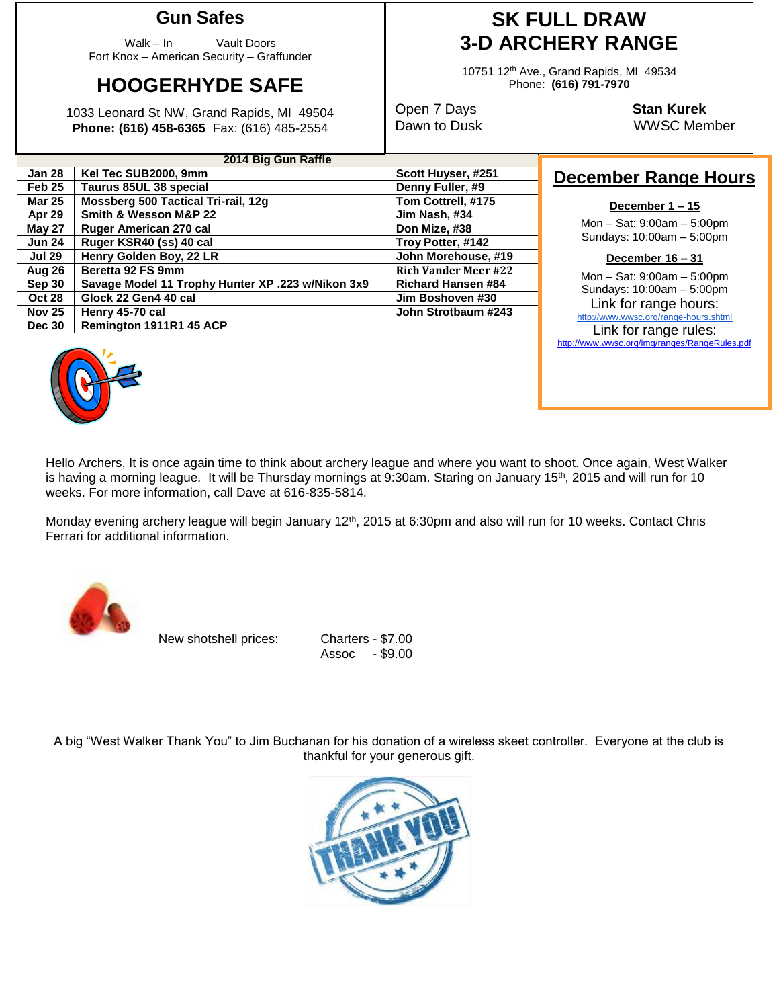#### **Gun Safes**

Walk – In Vault Doors Fort Knox – American Security – Graffunder

# **HOOGERHYDE SAFE**

1033 Leonard St NW, Grand Rapids, MI 49504 **Phone: (616) 458-6365** Fax: (616) 485-2554

**2014 Big Gun Raffle Jan 28 Kel Tec SUB2000, 9mm Scott Huyser, #251 Feb 25 Taurus 85UL 38 special Denny Fuller, #9 Mar 25** | Mossberg 500 Tactical Tri-rail, 12g **Tom Cottrell, #175 Apr 29 Smith & Wesson M&P 22 Jim Nash, #34 May 27** Ruger American 270 cal **Don Mize, #38 Jun 24 Ruger KSR40 (ss) 40 cal Troy Potter, #142 Jul 29 Henry Golden Boy, 22 LR John Morehouse, #19 Aug 26 Beretta 92 FS 9mm Rich Vander Meer #22 Sep 30 Savage Model 11 Trophy Hunter XP .223 w/Nikon 3x9 Richard Hansen #84 Oct 28 Glock 22 Gen4 40 cal Jim Boshoven #30 Nov 25 Henry 45-70 cal John Strotbaum #243**

## **SK FULL DRAW 3-D ARCHERY RANGE**

10751 12th Ave., Grand Rapids, MI 49534 Phone: **(616) 791-7970**

Open 7 Days **Stan Kurek**

Dawn to Dusk WWSC Member

### **December Range Hours**

#### **December 1 – 15**

Mon – Sat: 9:00am – 5:00pm Sundays: 10:00am – 5:00pm

**December 16 – 31**

Mon – Sat: 9:00am – 5:00pm Sundays: 10:00am – 5:00pm Link for range hours: <http://www.wwsc.org/range-hours.shtml>

Link for range rules: http://www.wwsc.org/img/ranges/RangeRules.pdf



**Dec 30 Remington 1911R1 45 ACP**

Hello Archers, It is once again time to think about archery league and where you want to shoot. Once again, West Walker is having a morning league. It will be Thursday mornings at 9:30am. Staring on January  $15<sup>th</sup>$ , 2015 and will run for 10 weeks. For more information, call Dave at 616-835-5814.

Monday evening archery league will begin January 12<sup>th</sup>, 2015 at 6:30pm and also will run for 10 weeks. Contact Chris Ferrari for additional information.



New shotshell prices: Charters - \$7.00

Assoc - \$9.00

A big "West Walker Thank You" to Jim Buchanan for his donation of a wireless skeet controller. Everyone at the club is thankful for your generous gift.